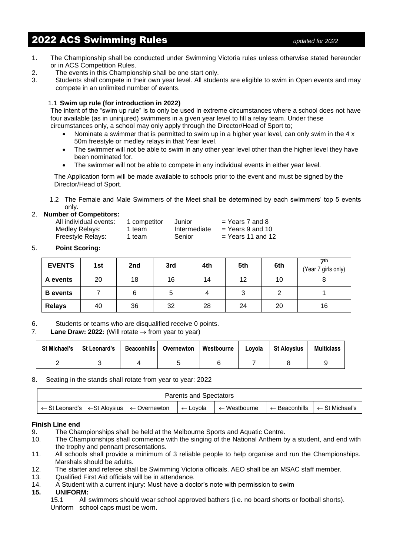# 2022 ACS Swimming Rules *updated for 2022*

- 1. The Championship shall be conducted under Swimming Victoria rules unless otherwise stated hereunder or in ACS Competition Rules.
- 2. The events in this Championship shall be one start only.
- 3. Students shall compete in their own year level. All students are eligible to swim in Open events and may compete in an unlimited number of events.

## 1.1 **Swim up rule (for introduction in 2022)**

The intent of the "swim up rule" is to only be used in extreme circumstances where a school does not have four available (as in uninjured) swimmers in a given year level to fill a relay team. Under these circumstances only, a school may only apply through the Director/Head of Sport to;

- Nominate a swimmer that is permitted to swim up in a higher year level, can only swim in the 4 x 50m freestyle or medley relays in that Year level.
- The swimmer will not be able to swim in any other year level other than the higher level they have been nominated for.
- The swimmer will not be able to compete in any individual events in either year level.

The Application form will be made available to schools prior to the event and must be signed by the Director/Head of Sport.

1.2 The Female and Male Swimmers of the Meet shall be determined by each swimmers' top 5 events only.

## 2. **Number of Competitors:**

| All individual events: | 1 competitor | Junior       | $=$ Years 7 and 8   |
|------------------------|--------------|--------------|---------------------|
| Medley Relays:         | 1 team       | Intermediate | $=$ Years 9 and 10  |
| Freestyle Relays:      | 1 team       | Senior       | $=$ Years 11 and 12 |

## 5. **Point Scoring:**

| <b>EVENTS</b>   | 1st | 2 <sub>nd</sub> | 3rd | 4th | 5th | 6th | 7th<br>(Year 7 girls only) |
|-----------------|-----|-----------------|-----|-----|-----|-----|----------------------------|
| A events        | 20  | 18              | 16  | 14  | 12  | 10  |                            |
| <b>B</b> events |     | 6               | ບ   |     |     |     |                            |
| <b>Relays</b>   | 40  | 36              | 32  | 28  | 24  | 20  | 16                         |

6. Students or teams who are disqualified receive 0 points.

### 7. **Lane Draw: 2022:** (Will rotate  $\rightarrow$  from year to year)

| <b>St Michael's</b> | St Leonard's | Beaconhills   Overnewton | <b>Westbourne</b> | Lovola | <b>St Aloysius</b> | <b>Multiclass</b> |
|---------------------|--------------|--------------------------|-------------------|--------|--------------------|-------------------|
|                     |              |                          |                   |        |                    |                   |

### 8. Seating in the stands shall rotate from year to year: 2022

| <b>Parents and Spectators</b> |                                                                                                                                                                                                    |  |  |  |  |  |  |  |
|-------------------------------|----------------------------------------------------------------------------------------------------------------------------------------------------------------------------------------------------|--|--|--|--|--|--|--|
|                               | ← St Leonard's $\vert \leftarrow$ St Aloysius $\vert \leftarrow$ Overnewton<br>$\vert \leftarrow$ Beaconhills $\vert \leftarrow$ St Michael's<br>$\mathsf{l} \leftarrow$ Westbourne<br>l  ← Lovola |  |  |  |  |  |  |  |

### **Finish Line end**

- 9. The Championships shall be held at the Melbourne Sports and Aquatic Centre.
- 10. The Championships shall commence with the singing of the National Anthem by a student, and end with the trophy and pennant presentations.
- 11. All schools shall provide a minimum of 3 reliable people to help organise and run the Championships. Marshals should be adults.
- 12. The starter and referee shall be Swimming Victoria officials. AEO shall be an MSAC staff member.
- 13. Qualified First Aid officials will be in attendance.
- 14. A Student with a current injury: Must have a doctor's note with permission to swim

### **15. UNIFORM:**

15.1 All swimmers should wear school approved bathers (i.e. no board shorts or football shorts). Uniform school caps must be worn.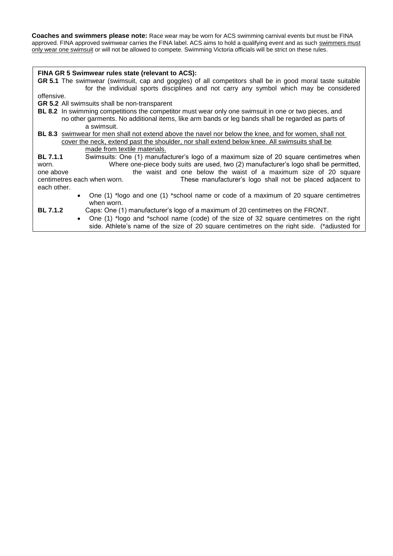**Coaches and swimmers please note:** Race wear may be worn for ACS swimming carnival events but must be FINA approved. FINA approved swimwear carries the FINA label. ACS aims to hold a qualifying event and as such swimmers must only wear one swimsuit or will not be allowed to compete. Swimming Victoria officials will be strict on these rules.

#### **FINA GR 5 Swimwear rules state (relevant to ACS):**

**GR 5.1** The swimwear (swimsuit, cap and goggles) of all competitors shall be in good moral taste suitable for the individual sports disciplines and not carry any symbol which may be considered

offensive.

**GR 5.2** All swimsuits shall be non-transparent

ACS purposes)

- **BL 8.2** In swimming competitions the competitor must wear only one swimsuit in one or two pieces, and
	- no other garments. No additional items, like arm bands or leg bands shall be regarded as parts of a swimsuit.
- **BL 8.3** swimwear for men shall not extend above the navel nor below the knee, and for women, shall not cover the neck, extend past the shoulder, nor shall extend below knee. All swimsuits shall be made from textile materials.

**BL 7.1.1** Swimsuits: One (1) manufacturer's logo of a maximum size of 20 square centimetres when worn. Where one-piece body suits are used, two (2) manufacturer's logo shall be permitted, one above the waist and one below the waist of a maximum size of 20 square centimetres each when worn. These manufacturer's logo shall not be placed adjacent to each other.

- One (1) \*logo and one (1) \*school name or code of a maximum of 20 square centimetres when worn.
- **BL 7.1.2** Caps: One (1) manufacturer's logo of a maximum of 20 centimetres on the FRONT.
	- One (1) \*logo and \*school name (code) of the size of 32 square centimetres on the right side. Athlete's name of the size of 20 square centimetres on the right side. (\*adjusted for